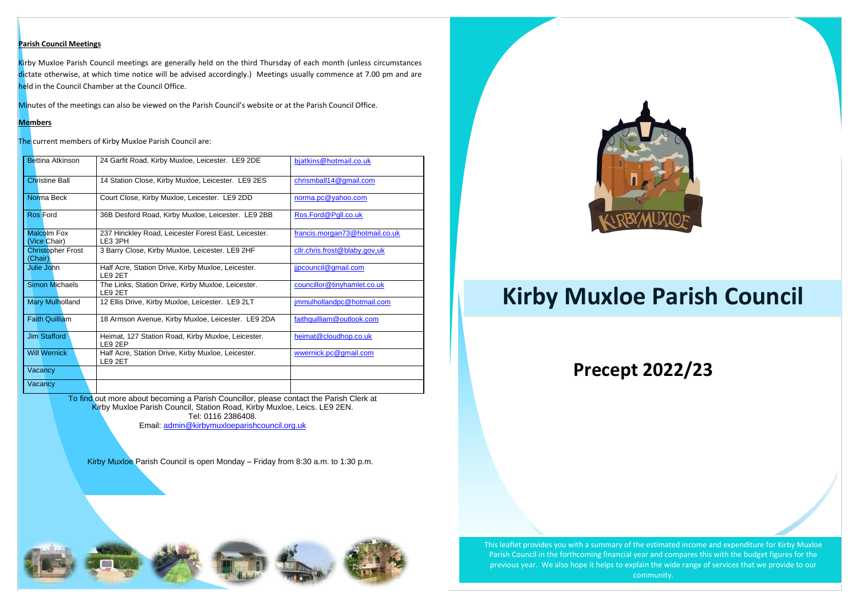### **Parish Council Meetings**

Kirby Muxloe Parish Council meetings are generally held on the third Thursday of each month (unless circumstances dictate otherwise, at which time notice will be advised accordingly.) Meetings usually commence at 7.00 pm and are held in the Council Chamber at the Council Office.

Minutes of the meetings can also be viewed on the Parish Council's website or at the Parish Council Office.

### **Members**

The current members of Kirby Muxloe Parish Council are:

 To find out more about becoming a Parish Councillor, please contact the Parish Clerk at Kirby Muxloe Parish Council, Station Road, Kirby Muxloe, Leics. LE9 2EN. Tel: 0116 2386408.

| <b>Bettina Atkinson</b>             | 24 Garfit Road, Kirby Muxloe, Leicester. LE9 2DE                | bjatkins@hotmail.co.uk         |  |
|-------------------------------------|-----------------------------------------------------------------|--------------------------------|--|
| <b>Christine Ball</b>               | 14 Station Close, Kirby Muxloe, Leicester. LE9 2ES              | chrismball14@gmail.com         |  |
|                                     |                                                                 |                                |  |
| Norma Beck                          | Court Close, Kirby Muxloe, Leicester. LE9 2DD                   | norma.pc@yahoo.com             |  |
| <b>Ros Ford</b>                     | 36B Desford Road, Kirby Muxloe, Leicester. LE9 2BB              | Ros.Ford@Pgll.co.uk            |  |
| <b>Malcolm Fox</b><br>(Vice Chair)  | 237 Hinckley Road, Leicester Forest East, Leicester.<br>LE3 3PH | francis.morgan73@hotmail.co.uk |  |
| <b>Christopher Frost</b><br>(Chair) | 3 Barry Close, Kirby Muxloe, Leicester. LE9 2HF                 | cllr.chris.frost@blaby.gov,uk  |  |
| Julie John                          | Half Acre, Station Drive, Kirby Muxloe, Leicester.<br>LE9 2ET   | jjpcouncil@gmail.com           |  |
| <b>Simon Michaels</b>               | The Links, Station Drive, Kirby Muxloe, Leicester.<br>LE9 2ET   | councillor@tinyhamlet.co.uk    |  |
| <b>Mary Mulholland</b>              | 12 Ellis Drive, Kirby Muxloe, Leicester. LE9 2LT                | jmmulhollandpc@hotmail.com     |  |
| <b>Faith Quilliam</b>               | 18 Armson Avenue, Kirby Muxloe, Leicester. LE9 2DA              | faithquilliam@outlook.com      |  |
| <b>Jim Stafford</b>                 | Heimat, 127 Station Road, Kirby Muxloe, Leicester.<br>LE9 2EP   | heimat@cloudhop.co.uk          |  |
| <b>Will Wernick</b>                 | Half Acre, Station Drive, Kirby Muxloe, Leicester.<br>LE9 2ET   | wwernick.pc@gmail.com          |  |
| Vacancy                             |                                                                 |                                |  |
| Vacancy                             |                                                                 |                                |  |

 This leaflet provides you with a summary of the estimated income and expenditure for Kirby Muxloe Parish Council in the forthcoming financial year and compares this with the budget figures for the previous year. We also hope it helps to explain the wide range of services that we provide to our community.

Email: [admin@kirbymuxloeparishcouncil.org.uk](mailto:admin@kirbymuxloeparishcouncil.org.uk) 

Kirby Muxloe Parish Council is open Monday – Friday from 8:30 a.m. to 1:30 p.m.













**Precept 2022/23** 

# **Kirby Muxloe Parish Council**